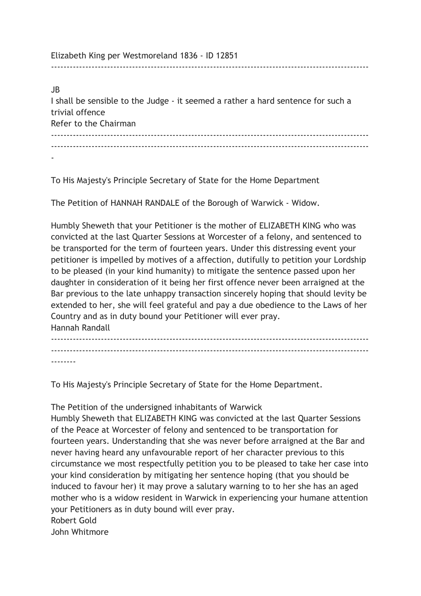Elizabeth King per Westmoreland 1836 - ID 12851

JB I shall be sensible to the Judge - it seemed a rather a hard sentence for such a trivial offence Refer to the Chairman ------------------------------------------------------------------------------------------------------ ------------------------------------------------------------------------------------------------------

------------------------------------------------------------------------------------------------------

-

To His Majesty's Principle Secretary of State for the Home Department

The Petition of HANNAH RANDALE of the Borough of Warwick - Widow.

Humbly Sheweth that your Petitioner is the mother of ELIZABETH KING who was convicted at the last Quarter Sessions at Worcester of a felony, and sentenced to be transported for the term of fourteen years. Under this distressing event your petitioner is impelled by motives of a affection, dutifully to petition your Lordship to be pleased (in your kind humanity) to mitigate the sentence passed upon her daughter in consideration of it being her first offence never been arraigned at the Bar previous to the late unhappy transaction sincerely hoping that should levity be extended to her, she will feel grateful and pay a due obedience to the Laws of her Country and as in duty bound your Petitioner will ever pray. Hannah Randall

------------------------------------------------------------------------------------------------------ ------------------------------------------------------------------------------------------------------ --------

To His Majesty's Principle Secretary of State for the Home Department.

The Petition of the undersigned inhabitants of Warwick

Humbly Sheweth that ELIZABETH KING was convicted at the last Quarter Sessions of the Peace at Worcester of felony and sentenced to be transportation for fourteen years. Understanding that she was never before arraigned at the Bar and never having heard any unfavourable report of her character previous to this circumstance we most respectfully petition you to be pleased to take her case into your kind consideration by mitigating her sentence hoping (that you should be induced to favour her) it may prove a salutary warning to to her she has an aged mother who is a widow resident in Warwick in experiencing your humane attention your Petitioners as in duty bound will ever pray. Robert Gold

John Whitmore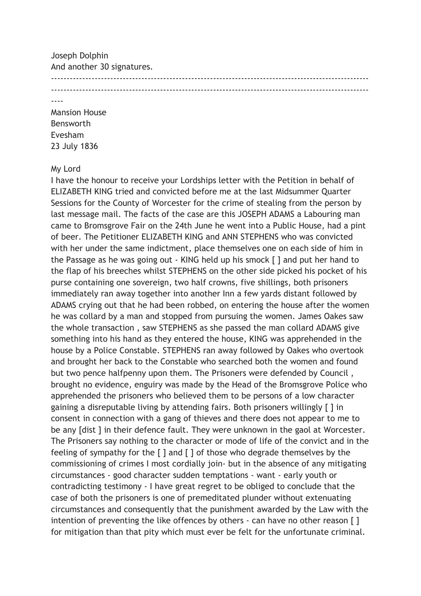Joseph Dolphin And another 30 signatures. ------------------------------------------------------------------------------------------------------ ------------------------------------------------------------------------------------------------------

----

Mansion House Bensworth Evesham 23 July 1836

## My Lord

I have the honour to receive your Lordships letter with the Petition in behalf of ELIZABETH KING tried and convicted before me at the last Midsummer Quarter Sessions for the County of Worcester for the crime of stealing from the person by last message mail. The facts of the case are this JOSEPH ADAMS a Labouring man came to Bromsgrove Fair on the 24th June he went into a Public House, had a pint of beer. The Petitioner ELIZABETH KING and ANN STEPHENS who was convicted with her under the same indictment, place themselves one on each side of him in the Passage as he was going out - KING held up his smock [ ] and put her hand to the flap of his breeches whilst STEPHENS on the other side picked his pocket of his purse containing one sovereign, two half crowns, five shillings, both prisoners immediately ran away together into another Inn a few yards distant followed by ADAMS crying out that he had been robbed, on entering the house after the women he was collard by a man and stopped from pursuing the women. James Oakes saw the whole transaction , saw STEPHENS as she passed the man collard ADAMS give something into his hand as they entered the house, KING was apprehended in the house by a Police Constable. STEPHENS ran away followed by Oakes who overtook and brought her back to the Constable who searched both the women and found but two pence halfpenny upon them. The Prisoners were defended by Council , brought no evidence, enguiry was made by the Head of the Bromsgrove Police who apprehended the prisoners who believed them to be persons of a low character gaining a disreputable living by attending fairs. Both prisoners willingly [ ] in consent in connection with a gang of thieves and there does not appear to me to be any [dist ] in their defence fault. They were unknown in the gaol at Worcester. The Prisoners say nothing to the character or mode of life of the convict and in the feeling of sympathy for the [ ] and [ ] of those who degrade themselves by the commissioning of crimes I most cordially join- but in the absence of any mitigating circumstances - good character sudden temptations - want - early youth or contradicting testimony - I have great regret to be obliged to conclude that the case of both the prisoners is one of premeditated plunder without extenuating circumstances and consequently that the punishment awarded by the Law with the intention of preventing the like offences by others - can have no other reason [ ] for mitigation than that pity which must ever be felt for the unfortunate criminal.